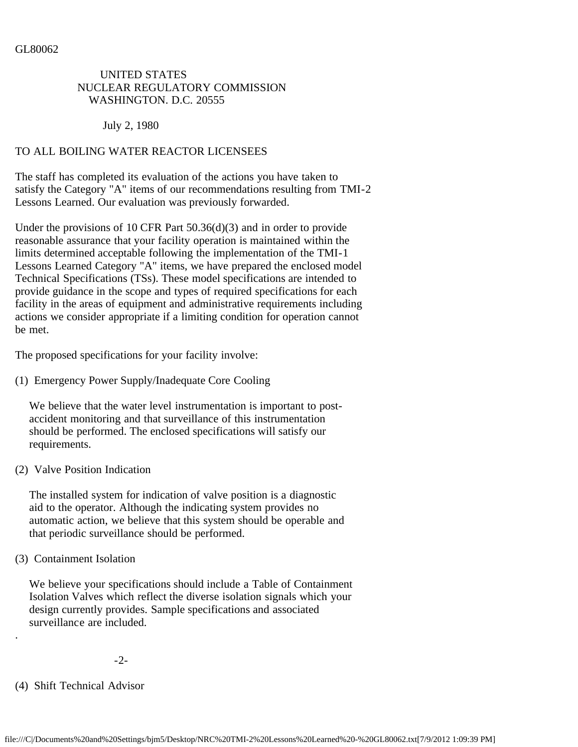## UNITED STATES NUCLEAR REGULATORY COMMISSION WASHINGTON. D.C. 20555

July 2, 1980

#### TO ALL BOILING WATER REACTOR LICENSEES

The staff has completed its evaluation of the actions you have taken to satisfy the Category "A" items of our recommendations resulting from TMI-2 Lessons Learned. Our evaluation was previously forwarded.

Under the provisions of 10 CFR Part 50.36(d)(3) and in order to provide reasonable assurance that your facility operation is maintained within the limits determined acceptable following the implementation of the TMI-1 Lessons Learned Category "A" items, we have prepared the enclosed model Technical Specifications (TSs). These model specifications are intended to provide guidance in the scope and types of required specifications for each facility in the areas of equipment and administrative requirements including actions we consider appropriate if a limiting condition for operation cannot be met.

The proposed specifications for your facility involve:

(1) Emergency Power Supply/Inadequate Core Cooling

 We believe that the water level instrumentation is important to post accident monitoring and that surveillance of this instrumentation should be performed. The enclosed specifications will satisfy our requirements.

(2) Valve Position Indication

 The installed system for indication of valve position is a diagnostic aid to the operator. Although the indicating system provides no automatic action, we believe that this system should be operable and that periodic surveillance should be performed.

(3) Containment Isolation

 We believe your specifications should include a Table of Containment Isolation Valves which reflect the diverse isolation signals which your design currently provides. Sample specifications and associated surveillance are included.

- -2-
- (4) Shift Technical Advisor

.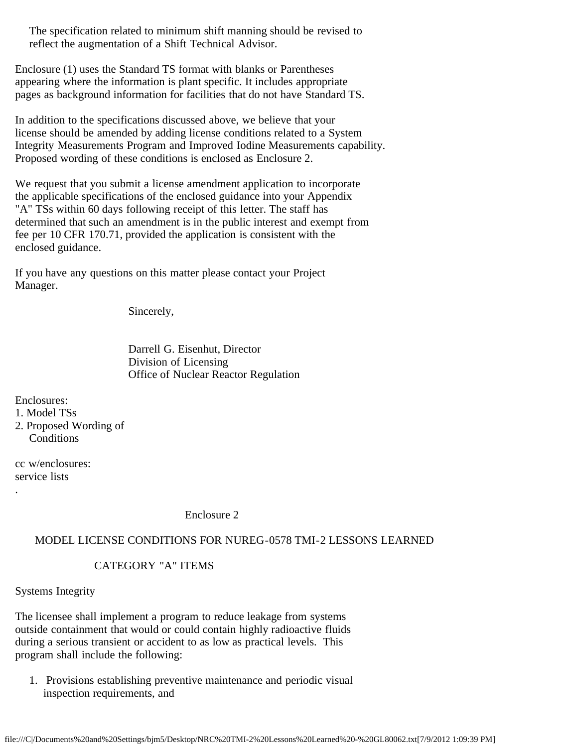The specification related to minimum shift manning should be revised to reflect the augmentation of a Shift Technical Advisor.

Enclosure (1) uses the Standard TS format with blanks or Parentheses appearing where the information is plant specific. It includes appropriate pages as background information for facilities that do not have Standard TS.

In addition to the specifications discussed above, we believe that your license should be amended by adding license conditions related to a System Integrity Measurements Program and Improved Iodine Measurements capability. Proposed wording of these conditions is enclosed as Enclosure 2.

We request that you submit a license amendment application to incorporate the applicable specifications of the enclosed guidance into your Appendix "A" TSs within 60 days following receipt of this letter. The staff has determined that such an amendment is in the public interest and exempt from fee per 10 CFR 170.71, provided the application is consistent with the enclosed guidance.

If you have any questions on this matter please contact your Project Manager.

Sincerely,

 Darrell G. Eisenhut, Director Division of Licensing Office of Nuclear Reactor Regulation

Enclosures:

- 1. Model TSs
- 2. Proposed Wording of **Conditions**

cc w/enclosures: service lists

.

Enclosure 2

## MODEL LICENSE CONDITIONS FOR NUREG-0578 TMI-2 LESSONS LEARNED

# CATEGORY "A" ITEMS

Systems Integrity

The licensee shall implement a program to reduce leakage from systems outside containment that would or could contain highly radioactive fluids during a serious transient or accident to as low as practical levels. This program shall include the following:

 1. Provisions establishing preventive maintenance and periodic visual inspection requirements, and